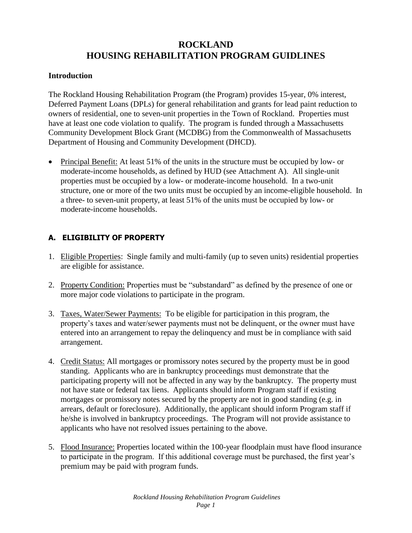# **ROCKLAND HOUSING REHABILITATION PROGRAM GUIDLINES**

#### **Introduction**

The Rockland Housing Rehabilitation Program (the Program) provides 15-year, 0% interest, Deferred Payment Loans (DPLs) for general rehabilitation and grants for lead paint reduction to owners of residential, one to seven-unit properties in the Town of Rockland. Properties must have at least one code violation to qualify. The program is funded through a Massachusetts Community Development Block Grant (MCDBG) from the Commonwealth of Massachusetts Department of Housing and Community Development (DHCD).

 Principal Benefit: At least 51% of the units in the structure must be occupied by low- or moderate-income households, as defined by HUD (see Attachment A). All single-unit properties must be occupied by a low- or moderate-income household. In a two-unit structure, one or more of the two units must be occupied by an income-eligible household. In a three- to seven-unit property, at least 51% of the units must be occupied by low- or moderate-income households.

### **A. ELIGIBILITY OF PROPERTY**

- 1. Eligible Properties: Single family and multi-family (up to seven units) residential properties are eligible for assistance.
- 2. Property Condition: Properties must be "substandard" as defined by the presence of one or more major code violations to participate in the program.
- 3. Taxes, Water/Sewer Payments: To be eligible for participation in this program, the property's taxes and water/sewer payments must not be delinquent, or the owner must have entered into an arrangement to repay the delinquency and must be in compliance with said arrangement.
- 4. Credit Status: All mortgages or promissory notes secured by the property must be in good standing. Applicants who are in bankruptcy proceedings must demonstrate that the participating property will not be affected in any way by the bankruptcy. The property must not have state or federal tax liens. Applicants should inform Program staff if existing mortgages or promissory notes secured by the property are not in good standing (e.g. in arrears, default or foreclosure). Additionally, the applicant should inform Program staff if he/she is involved in bankruptcy proceedings. The Program will not provide assistance to applicants who have not resolved issues pertaining to the above.
- 5. Flood Insurance: Properties located within the 100-year floodplain must have flood insurance to participate in the program. If this additional coverage must be purchased, the first year's premium may be paid with program funds.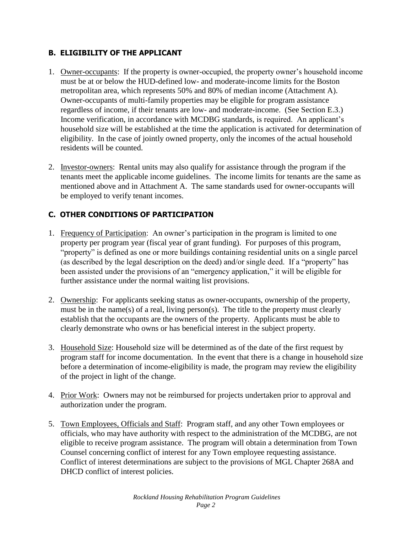## **B. ELIGIBILITY OF THE APPLICANT**

- 1. Owner-occupants: If the property is owner-occupied, the property owner's household income must be at or below the HUD-defined low- and moderate-income limits for the Boston metropolitan area, which represents 50% and 80% of median income (Attachment A). Owner-occupants of multi-family properties may be eligible for program assistance regardless of income, if their tenants are low- and moderate-income. (See Section E.3.) Income verification, in accordance with MCDBG standards, is required. An applicant's household size will be established at the time the application is activated for determination of eligibility. In the case of jointly owned property, only the incomes of the actual household residents will be counted.
- 2. Investor-owners: Rental units may also qualify for assistance through the program if the tenants meet the applicable income guidelines. The income limits for tenants are the same as mentioned above and in Attachment A. The same standards used for owner-occupants will be employed to verify tenant incomes.

# **C. OTHER CONDITIONS OF PARTICIPATION**

- 1. Frequency of Participation: An owner's participation in the program is limited to one property per program year (fiscal year of grant funding). For purposes of this program, "property" is defined as one or more buildings containing residential units on a single parcel (as described by the legal description on the deed) and/or single deed. If a "property" has been assisted under the provisions of an "emergency application," it will be eligible for further assistance under the normal waiting list provisions.
- 2. Ownership: For applicants seeking status as owner-occupants, ownership of the property, must be in the name(s) of a real, living person(s). The title to the property must clearly establish that the occupants are the owners of the property. Applicants must be able to clearly demonstrate who owns or has beneficial interest in the subject property.
- 3. Household Size: Household size will be determined as of the date of the first request by program staff for income documentation. In the event that there is a change in household size before a determination of income-eligibility is made, the program may review the eligibility of the project in light of the change.
- 4. Prior Work: Owners may not be reimbursed for projects undertaken prior to approval and authorization under the program.
- 5. Town Employees, Officials and Staff: Program staff, and any other Town employees or officials, who may have authority with respect to the administration of the MCDBG, are not eligible to receive program assistance. The program will obtain a determination from Town Counsel concerning conflict of interest for any Town employee requesting assistance. Conflict of interest determinations are subject to the provisions of MGL Chapter 268A and DHCD conflict of interest policies.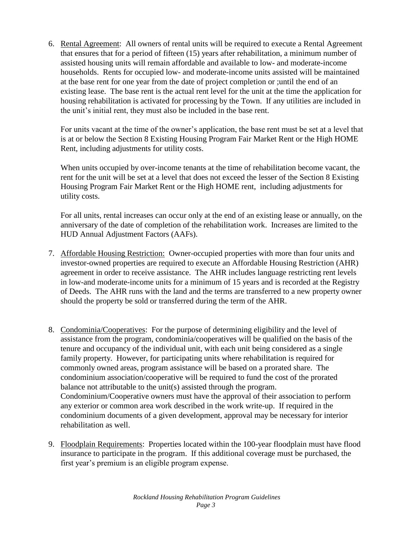6. Rental Agreement: All owners of rental units will be required to execute a Rental Agreement that ensures that for a period of fifteen (15) years after rehabilitation, a minimum number of assisted housing units will remain affordable and available to low- and moderate-income households. Rents for occupied low- and moderate-income units assisted will be maintained at the base rent for one year from the date of project completion or ;until the end of an existing lease. The base rent is the actual rent level for the unit at the time the application for housing rehabilitation is activated for processing by the Town. If any utilities are included in the unit's initial rent, they must also be included in the base rent.

For units vacant at the time of the owner's application, the base rent must be set at a level that is at or below the Section 8 Existing Housing Program Fair Market Rent or the High HOME Rent, including adjustments for utility costs.

When units occupied by over-income tenants at the time of rehabilitation become vacant, the rent for the unit will be set at a level that does not exceed the lesser of the Section 8 Existing Housing Program Fair Market Rent or the High HOME rent, including adjustments for utility costs.

For all units, rental increases can occur only at the end of an existing lease or annually, on the anniversary of the date of completion of the rehabilitation work. Increases are limited to the HUD Annual Adjustment Factors (AAFs).

- 7. Affordable Housing Restriction: Owner-occupied properties with more than four units and investor-owned properties are required to execute an Affordable Housing Restriction (AHR) agreement in order to receive assistance. The AHR includes language restricting rent levels in low-and moderate-income units for a minimum of 15 years and is recorded at the Registry of Deeds. The AHR runs with the land and the terms are transferred to a new property owner should the property be sold or transferred during the term of the AHR.
- 8. Condominia/Cooperatives: For the purpose of determining eligibility and the level of assistance from the program, condominia/cooperatives will be qualified on the basis of the tenure and occupancy of the individual unit, with each unit being considered as a single family property. However, for participating units where rehabilitation is required for commonly owned areas, program assistance will be based on a prorated share. The condominium association/cooperative will be required to fund the cost of the prorated balance not attributable to the unit(s) assisted through the program. Condominium/Cooperative owners must have the approval of their association to perform any exterior or common area work described in the work write-up. If required in the condominium documents of a given development, approval may be necessary for interior rehabilitation as well.
- 9. Floodplain Requirements: Properties located within the 100-year floodplain must have flood insurance to participate in the program. If this additional coverage must be purchased, the first year's premium is an eligible program expense.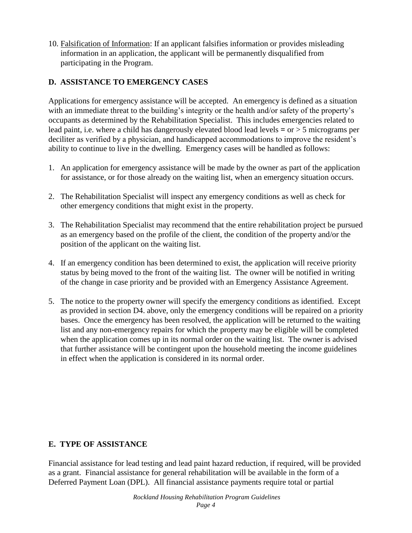10. Falsification of Information: If an applicant falsifies information or provides misleading information in an application, the applicant will be permanently disqualified from participating in the Program.

### **D. ASSISTANCE TO EMERGENCY CASES**

Applications for emergency assistance will be accepted. An emergency is defined as a situation with an immediate threat to the building's integrity or the health and/or safety of the property's occupants as determined by the Rehabilitation Specialist. This includes emergencies related to lead paint, i.e. where a child has dangerously elevated blood lead levels **=** or > 5 micrograms per deciliter as verified by a physician, and handicapped accommodations to improve the resident's ability to continue to live in the dwelling. Emergency cases will be handled as follows:

- 1. An application for emergency assistance will be made by the owner as part of the application for assistance, or for those already on the waiting list, when an emergency situation occurs.
- 2. The Rehabilitation Specialist will inspect any emergency conditions as well as check for other emergency conditions that might exist in the property.
- 3. The Rehabilitation Specialist may recommend that the entire rehabilitation project be pursued as an emergency based on the profile of the client, the condition of the property and/or the position of the applicant on the waiting list.
- 4. If an emergency condition has been determined to exist, the application will receive priority status by being moved to the front of the waiting list. The owner will be notified in writing of the change in case priority and be provided with an Emergency Assistance Agreement.
- 5. The notice to the property owner will specify the emergency conditions as identified. Except as provided in section D4. above, only the emergency conditions will be repaired on a priority bases. Once the emergency has been resolved, the application will be returned to the waiting list and any non-emergency repairs for which the property may be eligible will be completed when the application comes up in its normal order on the waiting list. The owner is advised that further assistance will be contingent upon the household meeting the income guidelines in effect when the application is considered in its normal order.

## **E. TYPE OF ASSISTANCE**

Financial assistance for lead testing and lead paint hazard reduction, if required, will be provided as a grant. Financial assistance for general rehabilitation will be available in the form of a Deferred Payment Loan (DPL). All financial assistance payments require total or partial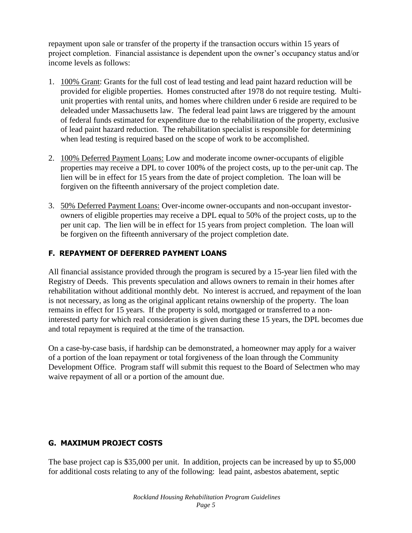repayment upon sale or transfer of the property if the transaction occurs within 15 years of project completion. Financial assistance is dependent upon the owner's occupancy status and/or income levels as follows:

- 1. 100% Grant: Grants for the full cost of lead testing and lead paint hazard reduction will be provided for eligible properties. Homes constructed after 1978 do not require testing. Multiunit properties with rental units, and homes where children under 6 reside are required to be deleaded under Massachusetts law. The federal lead paint laws are triggered by the amount of federal funds estimated for expenditure due to the rehabilitation of the property, exclusive of lead paint hazard reduction. The rehabilitation specialist is responsible for determining when lead testing is required based on the scope of work to be accomplished.
- 2. 100% Deferred Payment Loans: Low and moderate income owner-occupants of eligible properties may receive a DPL to cover 100% of the project costs, up to the per-unit cap. The lien will be in effect for 15 years from the date of project completion. The loan will be forgiven on the fifteenth anniversary of the project completion date.
- 3. 50% Deferred Payment Loans: Over-income owner-occupants and non-occupant investorowners of eligible properties may receive a DPL equal to 50% of the project costs, up to the per unit cap. The lien will be in effect for 15 years from project completion. The loan will be forgiven on the fifteenth anniversary of the project completion date.

# **F. REPAYMENT OF DEFERRED PAYMENT LOANS**

All financial assistance provided through the program is secured by a 15-year lien filed with the Registry of Deeds. This prevents speculation and allows owners to remain in their homes after rehabilitation without additional monthly debt. No interest is accrued, and repayment of the loan is not necessary, as long as the original applicant retains ownership of the property. The loan remains in effect for 15 years. If the property is sold, mortgaged or transferred to a noninterested party for which real consideration is given during these 15 years, the DPL becomes due and total repayment is required at the time of the transaction.

On a case-by-case basis, if hardship can be demonstrated, a homeowner may apply for a waiver of a portion of the loan repayment or total forgiveness of the loan through the Community Development Office. Program staff will submit this request to the Board of Selectmen who may waive repayment of all or a portion of the amount due.

## **G. MAXIMUM PROJECT COSTS**

The base project cap is \$35,000 per unit. In addition, projects can be increased by up to \$5,000 for additional costs relating to any of the following: lead paint, asbestos abatement, septic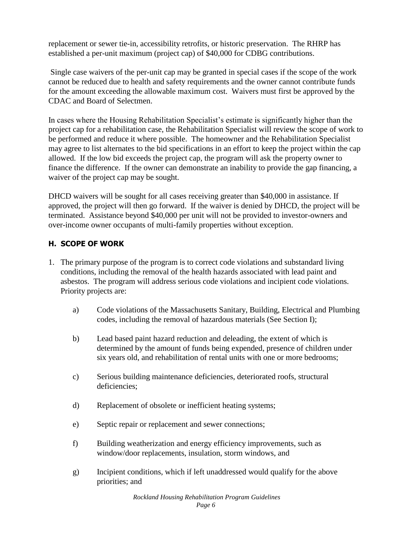replacement or sewer tie-in, accessibility retrofits, or historic preservation. The RHRP has established a per-unit maximum (project cap) of \$40,000 for CDBG contributions.

Single case waivers of the per-unit cap may be granted in special cases if the scope of the work cannot be reduced due to health and safety requirements and the owner cannot contribute funds for the amount exceeding the allowable maximum cost. Waivers must first be approved by the CDAC and Board of Selectmen.

In cases where the Housing Rehabilitation Specialist's estimate is significantly higher than the project cap for a rehabilitation case, the Rehabilitation Specialist will review the scope of work to be performed and reduce it where possible. The homeowner and the Rehabilitation Specialist may agree to list alternates to the bid specifications in an effort to keep the project within the cap allowed. If the low bid exceeds the project cap, the program will ask the property owner to finance the difference. If the owner can demonstrate an inability to provide the gap financing, a waiver of the project cap may be sought.

DHCD waivers will be sought for all cases receiving greater than \$40,000 in assistance. If approved, the project will then go forward. If the waiver is denied by DHCD, the project will be terminated. Assistance beyond \$40,000 per unit will not be provided to investor-owners and over-income owner occupants of multi-family properties without exception.

### **H. SCOPE OF WORK**

- 1. The primary purpose of the program is to correct code violations and substandard living conditions, including the removal of the health hazards associated with lead paint and asbestos. The program will address serious code violations and incipient code violations. Priority projects are:
	- a) Code violations of the Massachusetts Sanitary, Building, Electrical and Plumbing codes, including the removal of hazardous materials (See Section I);
	- b) Lead based paint hazard reduction and deleading, the extent of which is determined by the amount of funds being expended, presence of children under six years old, and rehabilitation of rental units with one or more bedrooms;
	- c) Serious building maintenance deficiencies, deteriorated roofs, structural deficiencies;
	- d) Replacement of obsolete or inefficient heating systems;
	- e) Septic repair or replacement and sewer connections;
	- f) Building weatherization and energy efficiency improvements, such as window/door replacements, insulation, storm windows, and
	- g) Incipient conditions, which if left unaddressed would qualify for the above priorities; and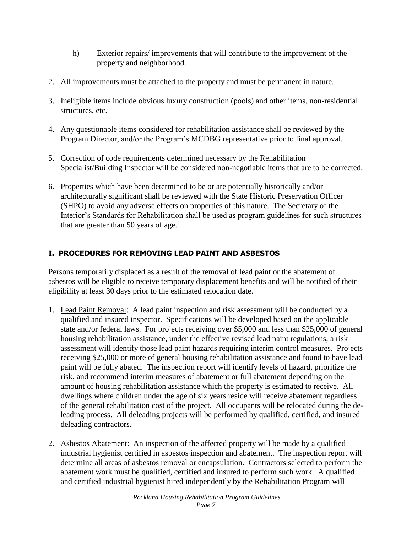- h) Exterior repairs/ improvements that will contribute to the improvement of the property and neighborhood.
- 2. All improvements must be attached to the property and must be permanent in nature.
- 3. Ineligible items include obvious luxury construction (pools) and other items, non-residential structures, etc.
- 4. Any questionable items considered for rehabilitation assistance shall be reviewed by the Program Director, and/or the Program's MCDBG representative prior to final approval.
- 5. Correction of code requirements determined necessary by the Rehabilitation Specialist/Building Inspector will be considered non-negotiable items that are to be corrected.
- 6. Properties which have been determined to be or are potentially historically and/or architecturally significant shall be reviewed with the State Historic Preservation Officer (SHPO) to avoid any adverse effects on properties of this nature. The Secretary of the Interior's Standards for Rehabilitation shall be used as program guidelines for such structures that are greater than 50 years of age.

# **I. PROCEDURES FOR REMOVING LEAD PAINT AND ASBESTOS**

Persons temporarily displaced as a result of the removal of lead paint or the abatement of asbestos will be eligible to receive temporary displacement benefits and will be notified of their eligibility at least 30 days prior to the estimated relocation date.

- 1. Lead Paint Removal: A lead paint inspection and risk assessment will be conducted by a qualified and insured inspector. Specifications will be developed based on the applicable state and/or federal laws. For projects receiving over \$5,000 and less than \$25,000 of general housing rehabilitation assistance, under the effective revised lead paint regulations, a risk assessment will identify those lead paint hazards requiring interim control measures. Projects receiving \$25,000 or more of general housing rehabilitation assistance and found to have lead paint will be fully abated. The inspection report will identify levels of hazard, prioritize the risk, and recommend interim measures of abatement or full abatement depending on the amount of housing rehabilitation assistance which the property is estimated to receive. All dwellings where children under the age of six years reside will receive abatement regardless of the general rehabilitation cost of the project. All occupants will be relocated during the deleading process. All deleading projects will be performed by qualified, certified, and insured deleading contractors.
- 2. Asbestos Abatement: An inspection of the affected property will be made by a qualified industrial hygienist certified in asbestos inspection and abatement. The inspection report will determine all areas of asbestos removal or encapsulation. Contractors selected to perform the abatement work must be qualified, certified and insured to perform such work. A qualified and certified industrial hygienist hired independently by the Rehabilitation Program will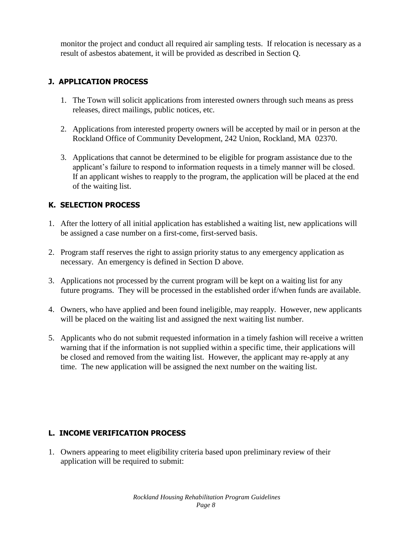monitor the project and conduct all required air sampling tests. If relocation is necessary as a result of asbestos abatement, it will be provided as described in Section Q.

## **J. APPLICATION PROCESS**

- 1. The Town will solicit applications from interested owners through such means as press releases, direct mailings, public notices, etc.
- 2. Applications from interested property owners will be accepted by mail or in person at the Rockland Office of Community Development, 242 Union, Rockland, MA 02370.
- 3. Applications that cannot be determined to be eligible for program assistance due to the applicant's failure to respond to information requests in a timely manner will be closed. If an applicant wishes to reapply to the program, the application will be placed at the end of the waiting list.

## **K. SELECTION PROCESS**

- 1. After the lottery of all initial application has established a waiting list, new applications will be assigned a case number on a first-come, first-served basis.
- 2. Program staff reserves the right to assign priority status to any emergency application as necessary. An emergency is defined in Section D above.
- 3. Applications not processed by the current program will be kept on a waiting list for any future programs. They will be processed in the established order if/when funds are available.
- 4. Owners, who have applied and been found ineligible, may reapply. However, new applicants will be placed on the waiting list and assigned the next waiting list number.
- 5. Applicants who do not submit requested information in a timely fashion will receive a written warning that if the information is not supplied within a specific time, their applications will be closed and removed from the waiting list. However, the applicant may re-apply at any time. The new application will be assigned the next number on the waiting list.

# **L. INCOME VERIFICATION PROCESS**

1. Owners appearing to meet eligibility criteria based upon preliminary review of their application will be required to submit: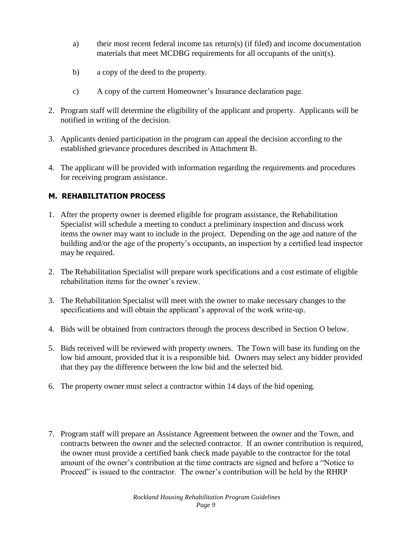- a) their most recent federal income tax return(s) (if filed) and income documentation materials that meet MCDBG requirements for all occupants of the unit(s).
- b) a copy of the deed to the property.
- c) A copy of the current Homeowner's Insurance declaration page.
- 2. Program staff will determine the eligibility of the applicant and property. Applicants will be notified in writing of the decision.
- 3. Applicants denied participation in the program can appeal the decision according to the established grievance procedures described in Attachment B.
- 4. The applicant will be provided with information regarding the requirements and procedures for receiving program assistance.

## **M. REHABILITATION PROCESS**

- 1. After the property owner is deemed eligible for program assistance, the Rehabilitation Specialist will schedule a meeting to conduct a preliminary inspection and discuss work items the owner may want to include in the project. Depending on the age and nature of the building and/or the age of the property's occupants, an inspection by a certified lead inspector may be required.
- 2. The Rehabilitation Specialist will prepare work specifications and a cost estimate of eligible rehabilitation items for the owner's review.
- 3. The Rehabilitation Specialist will meet with the owner to make necessary changes to the specifications and will obtain the applicant's approval of the work write-up.
- 4. Bids will be obtained from contractors through the process described in Section O below.
- 5. Bids received will be reviewed with property owners. The Town will base its funding on the low bid amount, provided that it is a responsible bid. Owners may select any bidder provided that they pay the difference between the low bid and the selected bid.
- 6. The property owner must select a contractor within 14 days of the bid opening.
- 7. Program staff will prepare an Assistance Agreement between the owner and the Town, and contracts between the owner and the selected contractor. If an owner contribution is required, the owner must provide a certified bank check made payable to the contractor for the total amount of the owner's contribution at the time contracts are signed and before a "Notice to Proceed" is issued to the contractor. The owner's contribution will be held by the RHRP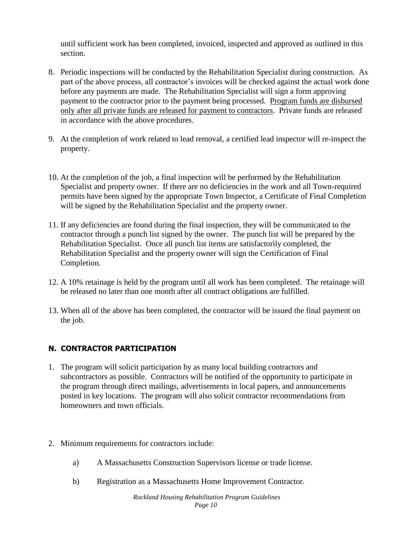until sufficient work has been completed, invoiced, inspected and approved as outlined in this section.

- 8. Periodic inspections will be conducted by the Rehabilitation Specialist during construction. As part of the above process, all contractor's invoices will be checked against the actual work done before any payments are made. The Rehabilitation Specialist will sign a form approving payment to the contractor prior to the payment being processed. Program funds are disbursed only after all private funds are released for payment to contractors. Private funds are released in accordance with the above procedures.
- 9. At the completion of work related to lead removal, a certified lead inspector will re-inspect the property.
- 10. At the completion of the job, a final inspection will be performed by the Rehabilitation Specialist and property owner. If there are no deficiencies in the work and all Town-required permits have been signed by the appropriate Town Inspector, a Certificate of Final Completion will be signed by the Rehabilitation Specialist and the property owner.
- 11. If any deficiencies are found during the final inspection, they will be communicated to the contractor through a punch list signed by the owner. The punch list will be prepared by the Rehabilitation Specialist. Once all punch list items are satisfactorily completed, the Rehabilitation Specialist and the property owner will sign the Certification of Final Completion.
- 12. A 10% retainage is held by the program until all work has been completed. The retainage will be released no later than one month after all contract obligations are fulfilled.
- 13. When all of the above has been completed, the contractor will be issued the final payment on the job.

## **N. CONTRACTOR PARTICIPATION**

- 1. The program will solicit participation by as many local building contractors and subcontractors as possible. Contractors will be notified of the opportunity to participate in the program through direct mailings, advertisements in local papers, and announcements posted in key locations. The program will also solicit contractor recommendations from homeowners and town officials.
- 2. Minimum requirements for contractors include:
	- a) A Massachusetts Construction Supervisors license or trade license.
	- b) Registration as a Massachusetts Home Improvement Contractor.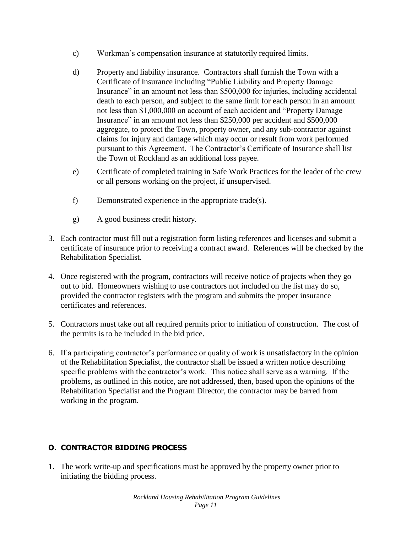- c) Workman's compensation insurance at statutorily required limits.
- d) Property and liability insurance. Contractors shall furnish the Town with a Certificate of Insurance including "Public Liability and Property Damage Insurance" in an amount not less than \$500,000 for injuries, including accidental death to each person, and subject to the same limit for each person in an amount not less than \$1,000,000 on account of each accident and "Property Damage Insurance" in an amount not less than \$250,000 per accident and \$500,000 aggregate, to protect the Town, property owner, and any sub-contractor against claims for injury and damage which may occur or result from work performed pursuant to this Agreement. The Contractor's Certificate of Insurance shall list the Town of Rockland as an additional loss payee.
- e) Certificate of completed training in Safe Work Practices for the leader of the crew or all persons working on the project, if unsupervised.
- f) Demonstrated experience in the appropriate trade(s).
- g) A good business credit history.
- 3. Each contractor must fill out a registration form listing references and licenses and submit a certificate of insurance prior to receiving a contract award. References will be checked by the Rehabilitation Specialist.
- 4. Once registered with the program, contractors will receive notice of projects when they go out to bid. Homeowners wishing to use contractors not included on the list may do so, provided the contractor registers with the program and submits the proper insurance certificates and references.
- 5. Contractors must take out all required permits prior to initiation of construction. The cost of the permits is to be included in the bid price.
- 6. If a participating contractor's performance or quality of work is unsatisfactory in the opinion of the Rehabilitation Specialist, the contractor shall be issued a written notice describing specific problems with the contractor's work. This notice shall serve as a warning. If the problems, as outlined in this notice, are not addressed, then, based upon the opinions of the Rehabilitation Specialist and the Program Director, the contractor may be barred from working in the program.

# **O. CONTRACTOR BIDDING PROCESS**

1. The work write-up and specifications must be approved by the property owner prior to initiating the bidding process.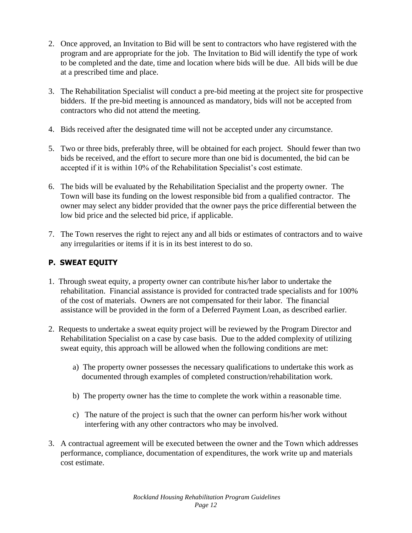- 2. Once approved, an Invitation to Bid will be sent to contractors who have registered with the program and are appropriate for the job. The Invitation to Bid will identify the type of work to be completed and the date, time and location where bids will be due. All bids will be due at a prescribed time and place.
- 3. The Rehabilitation Specialist will conduct a pre-bid meeting at the project site for prospective bidders. If the pre-bid meeting is announced as mandatory, bids will not be accepted from contractors who did not attend the meeting.
- 4. Bids received after the designated time will not be accepted under any circumstance.
- 5. Two or three bids, preferably three, will be obtained for each project. Should fewer than two bids be received, and the effort to secure more than one bid is documented, the bid can be accepted if it is within 10% of the Rehabilitation Specialist's cost estimate.
- 6. The bids will be evaluated by the Rehabilitation Specialist and the property owner. The Town will base its funding on the lowest responsible bid from a qualified contractor. The owner may select any bidder provided that the owner pays the price differential between the low bid price and the selected bid price, if applicable.
- 7. The Town reserves the right to reject any and all bids or estimates of contractors and to waive any irregularities or items if it is in its best interest to do so.

# **P. SWEAT EQUITY**

- 1. Through sweat equity, a property owner can contribute his/her labor to undertake the rehabilitation. Financial assistance is provided for contracted trade specialists and for 100% of the cost of materials. Owners are not compensated for their labor. The financial assistance will be provided in the form of a Deferred Payment Loan, as described earlier.
- 2. Requests to undertake a sweat equity project will be reviewed by the Program Director and Rehabilitation Specialist on a case by case basis. Due to the added complexity of utilizing sweat equity, this approach will be allowed when the following conditions are met:
	- a) The property owner possesses the necessary qualifications to undertake this work as documented through examples of completed construction/rehabilitation work.
	- b) The property owner has the time to complete the work within a reasonable time.
	- c) The nature of the project is such that the owner can perform his/her work without interfering with any other contractors who may be involved.
- 3. A contractual agreement will be executed between the owner and the Town which addresses performance, compliance, documentation of expenditures, the work write up and materials cost estimate.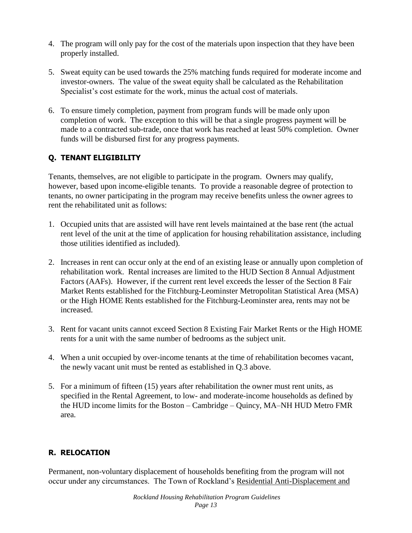- 4. The program will only pay for the cost of the materials upon inspection that they have been properly installed.
- 5. Sweat equity can be used towards the 25% matching funds required for moderate income and investor-owners. The value of the sweat equity shall be calculated as the Rehabilitation Specialist's cost estimate for the work, minus the actual cost of materials.
- 6. To ensure timely completion, payment from program funds will be made only upon completion of work. The exception to this will be that a single progress payment will be made to a contracted sub-trade, once that work has reached at least 50% completion. Owner funds will be disbursed first for any progress payments.

## **Q. TENANT ELIGIBILITY**

Tenants, themselves, are not eligible to participate in the program. Owners may qualify, however, based upon income-eligible tenants. To provide a reasonable degree of protection to tenants, no owner participating in the program may receive benefits unless the owner agrees to rent the rehabilitated unit as follows:

- 1. Occupied units that are assisted will have rent levels maintained at the base rent (the actual rent level of the unit at the time of application for housing rehabilitation assistance, including those utilities identified as included).
- 2. Increases in rent can occur only at the end of an existing lease or annually upon completion of rehabilitation work. Rental increases are limited to the HUD Section 8 Annual Adjustment Factors (AAFs). However, if the current rent level exceeds the lesser of the Section 8 Fair Market Rents established for the Fitchburg-Leominster Metropolitan Statistical Area (MSA) or the High HOME Rents established for the Fitchburg-Leominster area, rents may not be increased.
- 3. Rent for vacant units cannot exceed Section 8 Existing Fair Market Rents or the High HOME rents for a unit with the same number of bedrooms as the subject unit.
- 4. When a unit occupied by over-income tenants at the time of rehabilitation becomes vacant, the newly vacant unit must be rented as established in Q.3 above.
- 5. For a minimum of fifteen (15) years after rehabilitation the owner must rent units, as specified in the Rental Agreement, to low- and moderate-income households as defined by the HUD income limits for the Boston – Cambridge – Quincy, MA–NH HUD Metro FMR area.

## **R. RELOCATION**

Permanent, non-voluntary displacement of households benefiting from the program will not occur under any circumstances. The Town of Rockland's Residential Anti-Displacement and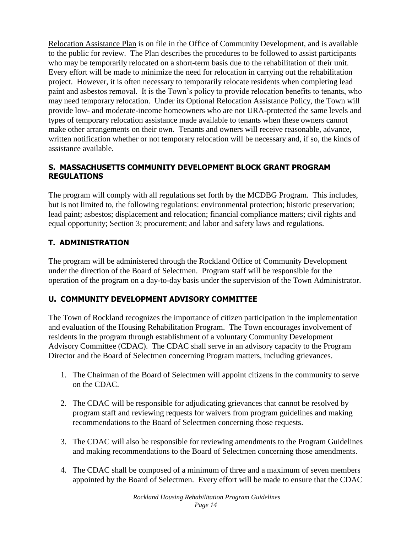Relocation Assistance Plan is on file in the Office of Community Development, and is available to the public for review. The Plan describes the procedures to be followed to assist participants who may be temporarily relocated on a short-term basis due to the rehabilitation of their unit. Every effort will be made to minimize the need for relocation in carrying out the rehabilitation project. However, it is often necessary to temporarily relocate residents when completing lead paint and asbestos removal. It is the Town's policy to provide relocation benefits to tenants, who may need temporary relocation. Under its Optional Relocation Assistance Policy, the Town will provide low- and moderate-income homeowners who are not URA-protected the same levels and types of temporary relocation assistance made available to tenants when these owners cannot make other arrangements on their own. Tenants and owners will receive reasonable, advance, written notification whether or not temporary relocation will be necessary and, if so, the kinds of assistance available.

## **S. MASSACHUSETTS COMMUNITY DEVELOPMENT BLOCK GRANT PROGRAM REGULATIONS**

The program will comply with all regulations set forth by the MCDBG Program. This includes, but is not limited to, the following regulations: environmental protection; historic preservation; lead paint; asbestos; displacement and relocation; financial compliance matters; civil rights and equal opportunity; Section 3; procurement; and labor and safety laws and regulations.

# **T. ADMINISTRATION**

The program will be administered through the Rockland Office of Community Development under the direction of the Board of Selectmen. Program staff will be responsible for the operation of the program on a day-to-day basis under the supervision of the Town Administrator.

## **U. COMMUNITY DEVELOPMENT ADVISORY COMMITTEE**

The Town of Rockland recognizes the importance of citizen participation in the implementation and evaluation of the Housing Rehabilitation Program. The Town encourages involvement of residents in the program through establishment of a voluntary Community Development Advisory Committee (CDAC). The CDAC shall serve in an advisory capacity to the Program Director and the Board of Selectmen concerning Program matters, including grievances.

- 1. The Chairman of the Board of Selectmen will appoint citizens in the community to serve on the CDAC.
- 2. The CDAC will be responsible for adjudicating grievances that cannot be resolved by program staff and reviewing requests for waivers from program guidelines and making recommendations to the Board of Selectmen concerning those requests.
- 3. The CDAC will also be responsible for reviewing amendments to the Program Guidelines and making recommendations to the Board of Selectmen concerning those amendments.
- 4. The CDAC shall be composed of a minimum of three and a maximum of seven members appointed by the Board of Selectmen. Every effort will be made to ensure that the CDAC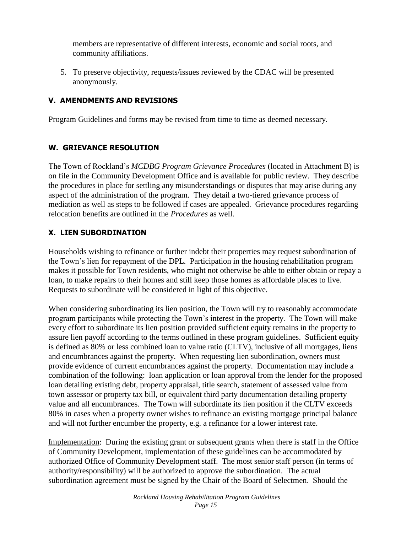members are representative of different interests, economic and social roots, and community affiliations.

5. To preserve objectivity, requests/issues reviewed by the CDAC will be presented anonymously.

## **V. AMENDMENTS AND REVISIONS**

Program Guidelines and forms may be revised from time to time as deemed necessary.

### **W. GRIEVANCE RESOLUTION**

The Town of Rockland's *MCDBG Program Grievance Procedures* (located in Attachment B) is on file in the Community Development Office and is available for public review. They describe the procedures in place for settling any misunderstandings or disputes that may arise during any aspect of the administration of the program. They detail a two-tiered grievance process of mediation as well as steps to be followed if cases are appealed. Grievance procedures regarding relocation benefits are outlined in the *Procedures* as well.

## **X. LIEN SUBORDINATION**

Households wishing to refinance or further indebt their properties may request subordination of the Town's lien for repayment of the DPL. Participation in the housing rehabilitation program makes it possible for Town residents, who might not otherwise be able to either obtain or repay a loan, to make repairs to their homes and still keep those homes as affordable places to live. Requests to subordinate will be considered in light of this objective.

When considering subordinating its lien position, the Town will try to reasonably accommodate program participants while protecting the Town's interest in the property. The Town will make every effort to subordinate its lien position provided sufficient equity remains in the property to assure lien payoff according to the terms outlined in these program guidelines. Sufficient equity is defined as 80% or less combined loan to value ratio (CLTV), inclusive of all mortgages, liens and encumbrances against the property. When requesting lien subordination, owners must provide evidence of current encumbrances against the property. Documentation may include a combination of the following: loan application or loan approval from the lender for the proposed loan detailing existing debt, property appraisal, title search, statement of assessed value from town assessor or property tax bill, or equivalent third party documentation detailing property value and all encumbrances. The Town will subordinate its lien position if the CLTV exceeds 80% in cases when a property owner wishes to refinance an existing mortgage principal balance and will not further encumber the property, e.g. a refinance for a lower interest rate.

Implementation: During the existing grant or subsequent grants when there is staff in the Office of Community Development, implementation of these guidelines can be accommodated by authorized Office of Community Development staff. The most senior staff person (in terms of authority/responsibility) will be authorized to approve the subordination. The actual subordination agreement must be signed by the Chair of the Board of Selectmen. Should the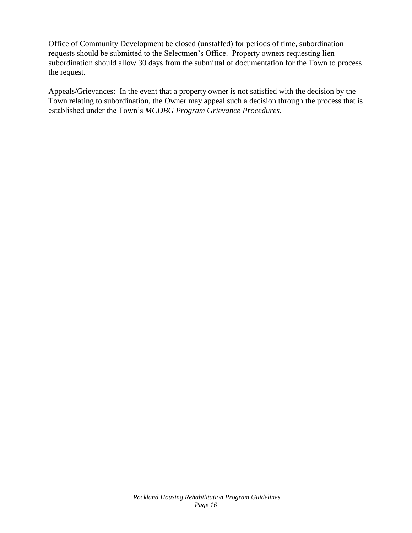Office of Community Development be closed (unstaffed) for periods of time, subordination requests should be submitted to the Selectmen's Office. Property owners requesting lien subordination should allow 30 days from the submittal of documentation for the Town to process the request.

Appeals/Grievances: In the event that a property owner is not satisfied with the decision by the Town relating to subordination, the Owner may appeal such a decision through the process that is established under the Town's *MCDBG Program Grievance Procedures*.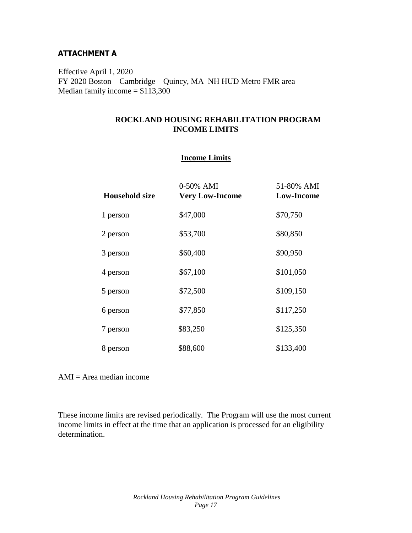### **ATTACHMENT A**

Effective April 1, 2020 FY 2020 Boston – Cambridge – Quincy, MA–NH HUD Metro FMR area Median family income  $= $113,300$ 

### **ROCKLAND HOUSING REHABILITATION PROGRAM INCOME LIMITS**

#### **Income Limits**

| <b>Household size</b> | 0-50% AMI<br><b>Very Low-Income</b> | 51-80% AMI<br><b>Low-Income</b> |
|-----------------------|-------------------------------------|---------------------------------|
| 1 person              | \$47,000                            | \$70,750                        |
| 2 person              | \$53,700                            | \$80,850                        |
| 3 person              | \$60,400                            | \$90,950                        |
| 4 person              | \$67,100                            | \$101,050                       |
| 5 person              | \$72,500                            | \$109,150                       |
| 6 person              | \$77,850                            | \$117,250                       |
| 7 person              | \$83,250                            | \$125,350                       |
| 8 person              | \$88,600                            | \$133,400                       |

 $AMI = Area$  median income

These income limits are revised periodically. The Program will use the most current income limits in effect at the time that an application is processed for an eligibility determination.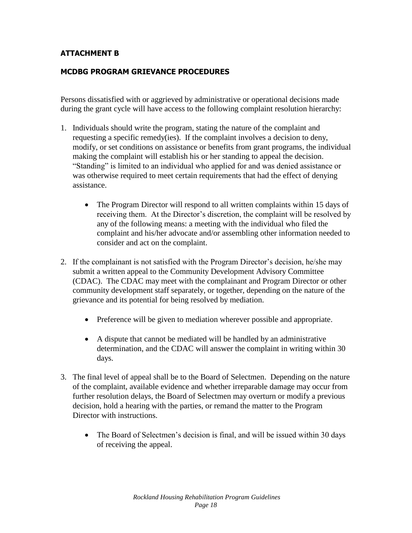### **ATTACHMENT B**

### **MCDBG PROGRAM GRIEVANCE PROCEDURES**

Persons dissatisfied with or aggrieved by administrative or operational decisions made during the grant cycle will have access to the following complaint resolution hierarchy:

- 1. Individuals should write the program, stating the nature of the complaint and requesting a specific remedy(ies). If the complaint involves a decision to deny, modify, or set conditions on assistance or benefits from grant programs, the individual making the complaint will establish his or her standing to appeal the decision. "Standing" is limited to an individual who applied for and was denied assistance or was otherwise required to meet certain requirements that had the effect of denying assistance.
	- The Program Director will respond to all written complaints within 15 days of receiving them. At the Director's discretion, the complaint will be resolved by any of the following means: a meeting with the individual who filed the complaint and his/her advocate and/or assembling other information needed to consider and act on the complaint.
- 2. If the complainant is not satisfied with the Program Director's decision, he/she may submit a written appeal to the Community Development Advisory Committee (CDAC). The CDAC may meet with the complainant and Program Director or other community development staff separately, or together, depending on the nature of the grievance and its potential for being resolved by mediation.
	- Preference will be given to mediation wherever possible and appropriate.
	- A dispute that cannot be mediated will be handled by an administrative determination, and the CDAC will answer the complaint in writing within 30 days.
- 3. The final level of appeal shall be to the Board of Selectmen. Depending on the nature of the complaint, available evidence and whether irreparable damage may occur from further resolution delays, the Board of Selectmen may overturn or modify a previous decision, hold a hearing with the parties, or remand the matter to the Program Director with instructions.
	- The Board of Selectmen's decision is final, and will be issued within 30 days of receiving the appeal.